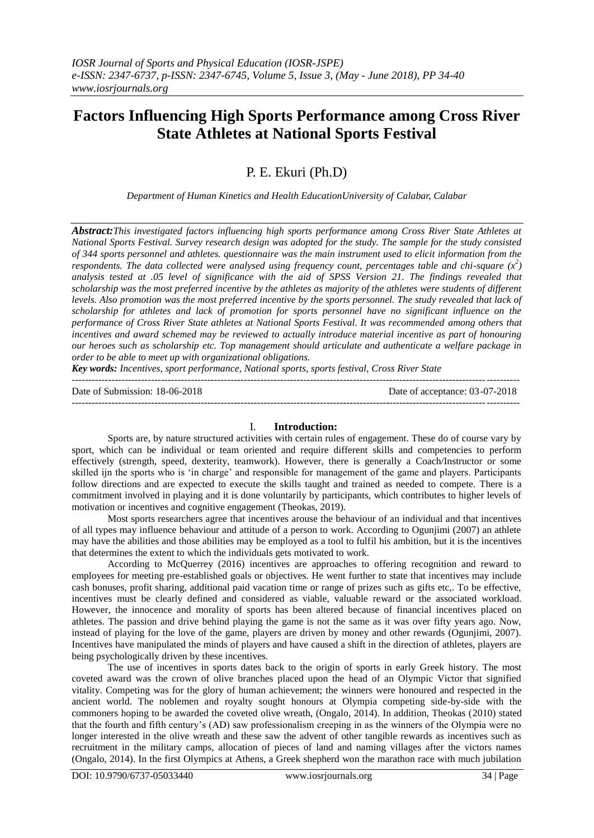# **Factors Influencing High Sports Performance among Cross River State Athletes at National Sports Festival**

P. E. Ekuri (Ph.D)

*Department of Human Kinetics and Health EducationUniversity of Calabar, Calabar*

*Abstract:This investigated factors influencing high sports performance among Cross River State Athletes at National Sports Festival. Survey research design was adopted for the study. The sample for the study consisted of 344 sports personnel and athletes. questionnaire was the main instrument used to elicit information from the respondents. The data collected were analysed using frequency count, percentages table and chi-square*  $(x^2)$ *analysis tested at .05 level of significance with the aid of SPSS Version 21. The findings revealed that scholarship was the most preferred incentive by the athletes as majority of the athletes were students of different levels. Also promotion was the most preferred incentive by the sports personnel. The study revealed that lack of scholarship for athletes and lack of promotion for sports personnel have no significant influence on the performance of Cross River State athletes at National Sports Festival. It was recommended among others that incentives and award schemed may be reviewed to actually introduce material incentive as part of honouring our heroes such as scholarship etc. Top management should articulate and authenticate a welfare package in order to be able to meet up with organizational obligations.*

*Key words: Incentives, sport performance, National sports, sports festival, Cross River State* ---------------------------------------------------------------------------------------------------------------------------------------

Date of Submission: 18-06-2018 Date of acceptance: 03-07-2018 ---------------------------------------------------------------------------------------------------------------------------------------

#### I. **Introduction:**

Sports are, by nature structured activities with certain rules of engagement. These do of course vary by sport, which can be individual or team oriented and require different skills and competencies to perform effectively (strength, speed, dexterity, teamwork). However, there is generally a Coach/Instructor or some skilled ijn the sports who is "in charge" and responsible for management of the game and players. Participants follow directions and are expected to execute the skills taught and trained as needed to compete. There is a commitment involved in playing and it is done voluntarily by participants, which contributes to higher levels of motivation or incentives and cognitive engagement (Theokas, 2019).

Most sports researchers agree that incentives arouse the behaviour of an individual and that incentives of all types may influence behaviour and attitude of a person to work. According to Ogunjimi (2007) an athlete may have the abilities and those abilities may be employed as a tool to fulfil his ambition, but it is the incentives that determines the extent to which the individuals gets motivated to work.

According to McQuerrey (2016) incentives are approaches to offering recognition and reward to employees for meeting pre-established goals or objectives. He went further to state that incentives may include cash bonuses, profit sharing, additional paid vacation time or range of prizes such as gifts etc,. To be effective, incentives must be clearly defined and considered as viable, valuable reward or the associated workload. However, the innocence and morality of sports has been altered because of financial incentives placed on athletes. The passion and drive behind playing the game is not the same as it was over fifty years ago. Now, instead of playing for the love of the game, players are driven by money and other rewards (Ogunjimi, 2007). Incentives have manipulated the minds of players and have caused a shift in the direction of athletes, players are being psychologically driven by these incentives.

The use of incentives in sports dates back to the origin of sports in early Greek history. The most coveted award was the crown of olive branches placed upon the head of an Olympic Victor that signified vitality. Competing was for the glory of human achievement; the winners were honoured and respected in the ancient world. The noblemen and royalty sought honours at Olympia competing side-by-side with the commoners hoping to be awarded the coveted olive wreath, (Ongalo, 2014). In addition, Theokas (2010) stated that the fourth and fifth century"s (AD) saw professionalism creeping in as the winners of the Olympia were no longer interested in the olive wreath and these saw the advent of other tangible rewards as incentives such as recruitment in the military camps, allocation of pieces of land and naming villages after the victors names (Ongalo, 2014). In the first Olympics at Athens, a Greek shepherd won the marathon race with much jubilation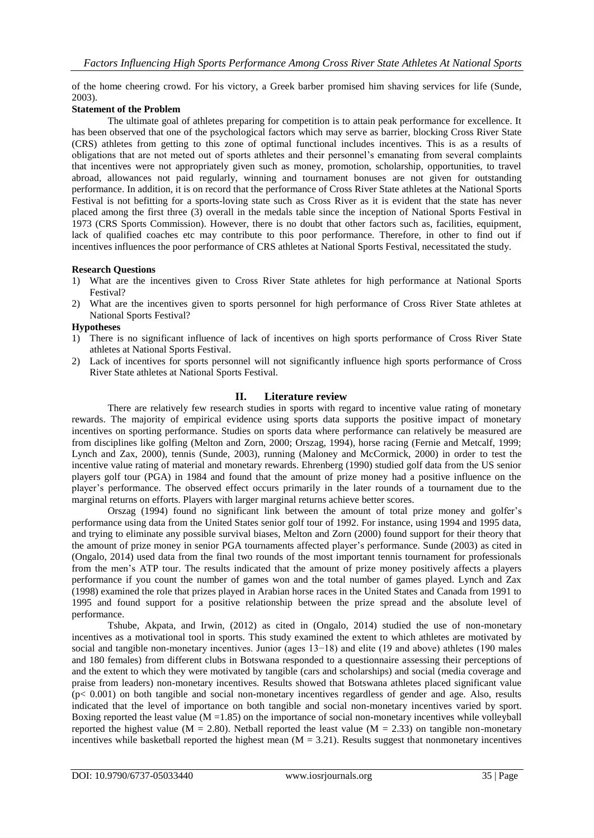of the home cheering crowd. For his victory, a Greek barber promised him shaving services for life (Sunde, 2003).

## **Statement of the Problem**

The ultimate goal of athletes preparing for competition is to attain peak performance for excellence. It has been observed that one of the psychological factors which may serve as barrier, blocking Cross River State (CRS) athletes from getting to this zone of optimal functional includes incentives. This is as a results of obligations that are not meted out of sports athletes and their personnel"s emanating from several complaints that incentives were not appropriately given such as money, promotion, scholarship, opportunities, to travel abroad, allowances not paid regularly, winning and tournament bonuses are not given for outstanding performance. In addition, it is on record that the performance of Cross River State athletes at the National Sports Festival is not befitting for a sports-loving state such as Cross River as it is evident that the state has never placed among the first three (3) overall in the medals table since the inception of National Sports Festival in 1973 (CRS Sports Commission). However, there is no doubt that other factors such as, facilities, equipment, lack of qualified coaches etc may contribute to this poor performance. Therefore, in other to find out if incentives influences the poor performance of CRS athletes at National Sports Festival, necessitated the study.

## **Research Questions**

- 1) What are the incentives given to Cross River State athletes for high performance at National Sports Festival?
- 2) What are the incentives given to sports personnel for high performance of Cross River State athletes at National Sports Festival?

## **Hypotheses**

- 1) There is no significant influence of lack of incentives on high sports performance of Cross River State athletes at National Sports Festival.
- 2) Lack of incentives for sports personnel will not significantly influence high sports performance of Cross River State athletes at National Sports Festival.

## **II. Literature review**

There are relatively few research studies in sports with regard to incentive value rating of monetary rewards. The majority of empirical evidence using sports data supports the positive impact of monetary incentives on sporting performance. Studies on sports data where performance can relatively be measured are from disciplines like golfing (Melton and Zorn, 2000; Orszag, 1994), horse racing (Fernie and Metcalf, 1999; Lynch and Zax, 2000), tennis (Sunde, 2003), running (Maloney and McCormick, 2000) in order to test the incentive value rating of material and monetary rewards. Ehrenberg (1990) studied golf data from the US senior players golf tour (PGA) in 1984 and found that the amount of prize money had a positive influence on the player"s performance. The observed effect occurs primarily in the later rounds of a tournament due to the marginal returns on efforts. Players with larger marginal returns achieve better scores.

Orszag (1994) found no significant link between the amount of total prize money and golfer"s performance using data from the United States senior golf tour of 1992. For instance, using 1994 and 1995 data, and trying to eliminate any possible survival biases, Melton and Zorn (2000) found support for their theory that the amount of prize money in senior PGA tournaments affected player"s performance. Sunde (2003) as cited in (Ongalo, 2014) used data from the final two rounds of the most important tennis tournament for professionals from the men"s ATP tour. The results indicated that the amount of prize money positively affects a players performance if you count the number of games won and the total number of games played. Lynch and Zax (1998) examined the role that prizes played in Arabian horse races in the United States and Canada from 1991 to 1995 and found support for a positive relationship between the prize spread and the absolute level of performance.

Tshube, Akpata, and Irwin, (2012) as cited in (Ongalo, 2014) studied the use of non-monetary incentives as a motivational tool in sports. This study examined the extent to which athletes are motivated by social and tangible non-monetary incentives. Junior (ages 13–18) and elite (19 and above) athletes (190 males and 180 females) from different clubs in Botswana responded to a questionnaire assessing their perceptions of and the extent to which they were motivated by tangible (cars and scholarships) and social (media coverage and praise from leaders) non-monetary incentives. Results showed that Botswana athletes placed significant value (p< 0.001) on both tangible and social non-monetary incentives regardless of gender and age. Also, results indicated that the level of importance on both tangible and social non-monetary incentives varied by sport. Boxing reported the least value  $(M = 1.85)$  on the importance of social non-monetary incentives while volleyball reported the highest value (M = 2.80). Netball reported the least value (M = 2.33) on tangible non-monetary incentives while basketball reported the highest mean  $(M = 3.21)$ . Results suggest that nonmonetary incentives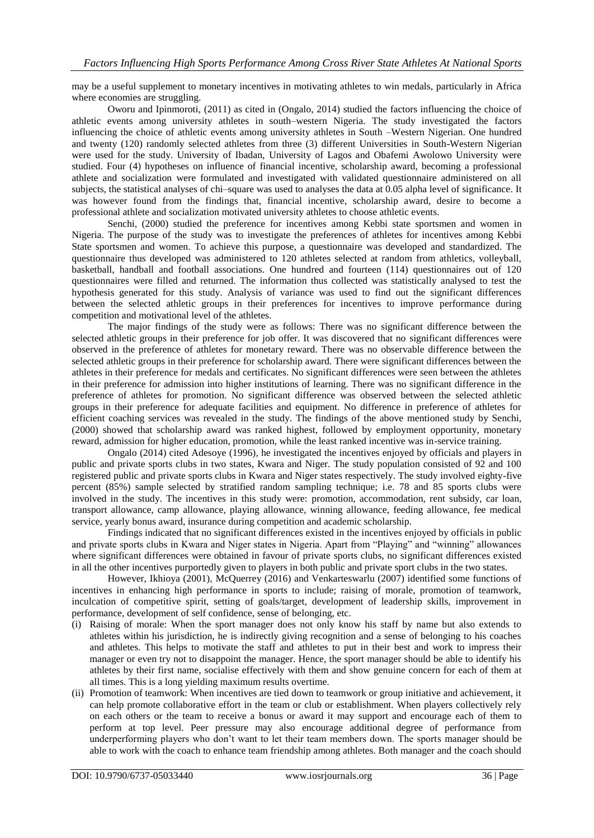may be a useful supplement to monetary incentives in motivating athletes to win medals, particularly in Africa where economies are struggling.

Oworu and Ipinmoroti, (2011) as cited in (Ongalo, 2014) studied the factors influencing the choice of athletic events among university athletes in south–western Nigeria. The study investigated the factors influencing the choice of athletic events among university athletes in South –Western Nigerian. One hundred and twenty (120) randomly selected athletes from three (3) different Universities in South-Western Nigerian were used for the study. University of Ibadan, University of Lagos and Obafemi Awolowo University were studied. Four (4) hypotheses on influence of financial incentive, scholarship award, becoming a professional athlete and socialization were formulated and investigated with validated questionnaire administered on all subjects, the statistical analyses of chi–square was used to analyses the data at 0.05 alpha level of significance. It was however found from the findings that, financial incentive, scholarship award, desire to become a professional athlete and socialization motivated university athletes to choose athletic events.

Senchi, (2000) studied the preference for incentives among Kebbi state sportsmen and women in Nigeria. The purpose of the study was to investigate the preferences of athletes for incentives among Kebbi State sportsmen and women. To achieve this purpose, a questionnaire was developed and standardized. The questionnaire thus developed was administered to 120 athletes selected at random from athletics, volleyball, basketball, handball and football associations. One hundred and fourteen (114) questionnaires out of 120 questionnaires were filled and returned. The information thus collected was statistically analysed to test the hypothesis generated for this study. Analysis of variance was used to find out the significant differences between the selected athletic groups in their preferences for incentives to improve performance during competition and motivational level of the athletes.

The major findings of the study were as follows: There was no significant difference between the selected athletic groups in their preference for job offer. It was discovered that no significant differences were observed in the preference of athletes for monetary reward. There was no observable difference between the selected athletic groups in their preference for scholarship award. There were significant differences between the athletes in their preference for medals and certificates. No significant differences were seen between the athletes in their preference for admission into higher institutions of learning. There was no significant difference in the preference of athletes for promotion. No significant difference was observed between the selected athletic groups in their preference for adequate facilities and equipment. No difference in preference of athletes for efficient coaching services was revealed in the study. The findings of the above mentioned study by Senchi, (2000) showed that scholarship award was ranked highest, followed by employment opportunity, monetary reward, admission for higher education, promotion, while the least ranked incentive was in-service training.

Ongalo (2014) cited Adesoye (1996), he investigated the incentives enjoyed by officials and players in public and private sports clubs in two states, Kwara and Niger. The study population consisted of 92 and 100 registered public and private sports clubs in Kwara and Niger states respectively. The study involved eighty-five percent (85%) sample selected by stratified random sampling technique; i.e. 78 and 85 sports clubs were involved in the study. The incentives in this study were: promotion, accommodation, rent subsidy, car loan, transport allowance, camp allowance, playing allowance, winning allowance, feeding allowance, fee medical service, yearly bonus award, insurance during competition and academic scholarship.

Findings indicated that no significant differences existed in the incentives enjoyed by officials in public and private sports clubs in Kwara and Niger states in Nigeria. Apart from "Playing" and "winning" allowances where significant differences were obtained in favour of private sports clubs, no significant differences existed in all the other incentives purportedly given to players in both public and private sport clubs in the two states.

However, Ikhioya (2001), McQuerrey (2016) and Venkarteswarlu (2007) identified some functions of incentives in enhancing high performance in sports to include; raising of morale, promotion of teamwork, inculcation of competitive spirit, setting of goals/target, development of leadership skills, improvement in performance, development of self confidence, sense of belonging, etc.

- (i) Raising of morale: When the sport manager does not only know his staff by name but also extends to athletes within his jurisdiction, he is indirectly giving recognition and a sense of belonging to his coaches and athletes. This helps to motivate the staff and athletes to put in their best and work to impress their manager or even try not to disappoint the manager. Hence, the sport manager should be able to identify his athletes by their first name, socialise effectively with them and show genuine concern for each of them at all times. This is a long yielding maximum results overtime.
- (ii) Promotion of teamwork: When incentives are tied down to teamwork or group initiative and achievement, it can help promote collaborative effort in the team or club or establishment. When players collectively rely on each others or the team to receive a bonus or award it may support and encourage each of them to perform at top level. Peer pressure may also encourage additional degree of performance from underperforming players who don"t want to let their team members down. The sports manager should be able to work with the coach to enhance team friendship among athletes. Both manager and the coach should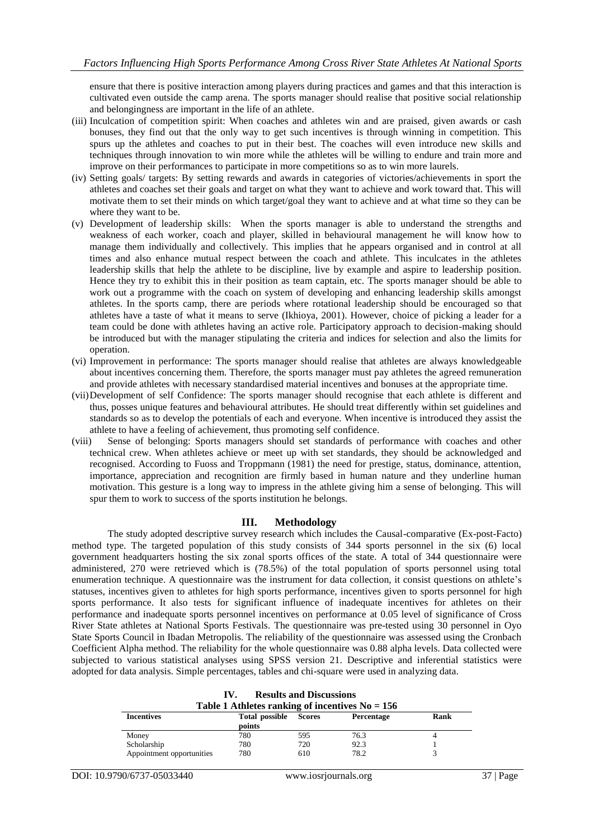ensure that there is positive interaction among players during practices and games and that this interaction is cultivated even outside the camp arena. The sports manager should realise that positive social relationship and belongingness are important in the life of an athlete.

- (iii) Inculcation of competition spirit: When coaches and athletes win and are praised, given awards or cash bonuses, they find out that the only way to get such incentives is through winning in competition. This spurs up the athletes and coaches to put in their best. The coaches will even introduce new skills and techniques through innovation to win more while the athletes will be willing to endure and train more and improve on their performances to participate in more competitions so as to win more laurels.
- (iv) Setting goals/ targets: By setting rewards and awards in categories of victories/achievements in sport the athletes and coaches set their goals and target on what they want to achieve and work toward that. This will motivate them to set their minds on which target/goal they want to achieve and at what time so they can be where they want to be.
- (v) Development of leadership skills: When the sports manager is able to understand the strengths and weakness of each worker, coach and player, skilled in behavioural management he will know how to manage them individually and collectively. This implies that he appears organised and in control at all times and also enhance mutual respect between the coach and athlete. This inculcates in the athletes leadership skills that help the athlete to be discipline, live by example and aspire to leadership position. Hence they try to exhibit this in their position as team captain, etc. The sports manager should be able to work out a programme with the coach on system of developing and enhancing leadership skills amongst athletes. In the sports camp, there are periods where rotational leadership should be encouraged so that athletes have a taste of what it means to serve (Ikhioya, 2001). However, choice of picking a leader for a team could be done with athletes having an active role. Participatory approach to decision-making should be introduced but with the manager stipulating the criteria and indices for selection and also the limits for operation.
- (vi) Improvement in performance: The sports manager should realise that athletes are always knowledgeable about incentives concerning them. Therefore, the sports manager must pay athletes the agreed remuneration and provide athletes with necessary standardised material incentives and bonuses at the appropriate time.
- (vii)Development of self Confidence: The sports manager should recognise that each athlete is different and thus, posses unique features and behavioural attributes. He should treat differently within set guidelines and standards so as to develop the potentials of each and everyone. When incentive is introduced they assist the athlete to have a feeling of achievement, thus promoting self confidence.
- (viii) Sense of belonging: Sports managers should set standards of performance with coaches and other technical crew. When athletes achieve or meet up with set standards, they should be acknowledged and recognised. According to Fuoss and Troppmann (1981) the need for prestige, status, dominance, attention, importance, appreciation and recognition are firmly based in human nature and they underline human motivation. This gesture is a long way to impress in the athlete giving him a sense of belonging. This will spur them to work to success of the sports institution he belongs.

# **III. Methodology**

The study adopted descriptive survey research which includes the Causal-comparative (Ex-post-Facto) method type. The targeted population of this study consists of 344 sports personnel in the six (6) local government headquarters hosting the six zonal sports offices of the state. A total of 344 questionnaire were administered, 270 were retrieved which is (78.5%) of the total population of sports personnel using total enumeration technique. A questionnaire was the instrument for data collection, it consist questions on athlete"s statuses, incentives given to athletes for high sports performance, incentives given to sports personnel for high sports performance. It also tests for significant influence of inadequate incentives for athletes on their performance and inadequate sports personnel incentives on performance at 0.05 level of significance of Cross River State athletes at National Sports Festivals. The questionnaire was pre-tested using 30 personnel in Oyo State Sports Council in Ibadan Metropolis. The reliability of the questionnaire was assessed using the Cronbach Coefficient Alpha method. The reliability for the whole questionnaire was 0.88 alpha levels. Data collected were subjected to various statistical analyses using SPSS version 21. Descriptive and inferential statistics were adopted for data analysis. Simple percentages, tables and chi-square were used in analyzing data.

| Table 1 Athletes ranking of incentives $No = 156$ |                          |               |            |             |  |  |
|---------------------------------------------------|--------------------------|---------------|------------|-------------|--|--|
| <b>Incentives</b>                                 | Total possible<br>points | <b>Scores</b> | Percentage | <b>Rank</b> |  |  |
| Money                                             | 780                      | 595           | 76.3       |             |  |  |
| Scholarship                                       | 780                      | 720           | 92.3       |             |  |  |
| Appointment opportunities                         | 780                      | 610           | 78.2       |             |  |  |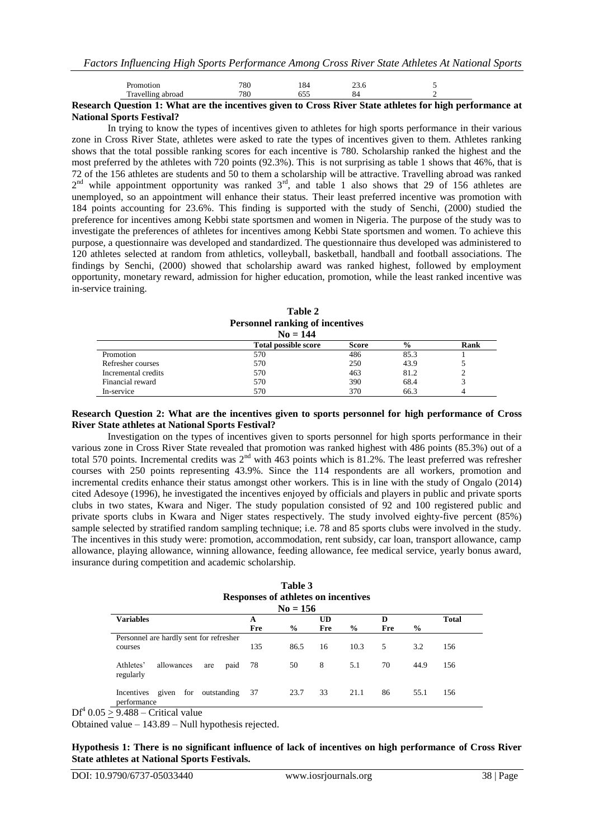| and the control of | <b>Contract Contract Contract</b> | $\sim$            | <b>CONTRACTOR</b> | --  | .    |  |  |
|--------------------|-----------------------------------|-------------------|-------------------|-----|------|--|--|
|                    | <br>m<br>Travelling abroad        | 700<br>`o⊍        |                   |     | О4   |  |  |
|                    | notior                            | 700<br>$\delta U$ |                   | 104 | ں.رے |  |  |
|                    |                                   |                   |                   |     |      |  |  |

### **Research Question 1: What are the incentives given to Cross River State athletes for high performance at National Sports Festival?**

In trying to know the types of incentives given to athletes for high sports performance in their various zone in Cross River State, athletes were asked to rate the types of incentives given to them. Athletes ranking shows that the total possible ranking scores for each incentive is 780. Scholarship ranked the highest and the most preferred by the athletes with 720 points (92.3%). This is not surprising as table 1 shows that 46%, that is 72 of the 156 athletes are students and 50 to them a scholarship will be attractive. Travelling abroad was ranked  $2<sup>nd</sup>$  while appointment opportunity was ranked  $3<sup>rd</sup>$ , and table 1 also shows that 29 of 156 athletes are unemployed, so an appointment will enhance their status. Their least preferred incentive was promotion with 184 points accounting for 23.6%. This finding is supported with the study of Senchi, (2000) studied the preference for incentives among Kebbi state sportsmen and women in Nigeria. The purpose of the study was to investigate the preferences of athletes for incentives among Kebbi State sportsmen and women. To achieve this purpose, a questionnaire was developed and standardized. The questionnaire thus developed was administered to 120 athletes selected at random from athletics, volleyball, basketball, handball and football associations. The findings by Senchi, (2000) showed that scholarship award was ranked highest, followed by employment opportunity, monetary reward, admission for higher education, promotion, while the least ranked incentive was in-service training.

**Table 2 Personnel ranking of incentives**

| $No = 144$          |                             |       |               |      |  |
|---------------------|-----------------------------|-------|---------------|------|--|
|                     | <b>Total possible score</b> | Score | $\frac{0}{0}$ | Rank |  |
| Promotion           | 570                         | 486   | 85.3          |      |  |
| Refresher courses   | 570                         | 250   | 43.9          |      |  |
| Incremental credits | 570                         | 463   | 81.2          |      |  |
| Financial reward    | 570                         | 390   | 68.4          |      |  |
| In-service          | 570                         | 370   | 66.3          |      |  |

### **Research Question 2: What are the incentives given to sports personnel for high performance of Cross River State athletes at National Sports Festival?**

Investigation on the types of incentives given to sports personnel for high sports performance in their various zone in Cross River State revealed that promotion was ranked highest with 486 points (85.3%) out of a total 570 points. Incremental credits was  $2<sup>nd</sup>$  with 463 points which is 81.2%. The least preferred was refresher courses with 250 points representing 43.9%. Since the 114 respondents are all workers, promotion and incremental credits enhance their status amongst other workers. This is in line with the study of Ongalo (2014) cited Adesoye (1996), he investigated the incentives enjoyed by officials and players in public and private sports clubs in two states, Kwara and Niger. The study population consisted of 92 and 100 registered public and private sports clubs in Kwara and Niger states respectively. The study involved eighty-five percent (85%) sample selected by stratified random sampling technique; i.e. 78 and 85 sports clubs were involved in the study. The incentives in this study were: promotion, accommodation, rent subsidy, car loan, transport allowance, camp allowance, playing allowance, winning allowance, feeding allowance, fee medical service, yearly bonus award, insurance during competition and academic scholarship.

| Table 3                             |
|-------------------------------------|
| Responses of athletes on incentives |
| $No = 156$                          |

|                                                       |     | $190 = 150$   |           |               |     |      |              |
|-------------------------------------------------------|-----|---------------|-----------|---------------|-----|------|--------------|
| <b>Variables</b>                                      | A   |               | <b>UD</b> |               | D   |      | <b>Total</b> |
|                                                       | Fre | $\frac{6}{9}$ | Fre       | $\frac{0}{0}$ | Fre | $\%$ |              |
| Personnel are hardly sent for refresher               |     |               |           |               |     |      |              |
| courses                                               | 135 | 86.5          | 16        | 10.3          | .5  | 3.2  | 156          |
| Athletes'<br>allowances<br>paid<br>are<br>regularly   | -78 | 50            | 8         | 5.1           | 70  | 44.9 | 156          |
| Incentives given<br>for<br>outstanding<br>performance | 37  | 23.7          | 33        | 21.1          | 86  | 55.1 | 156          |

 $DF<sup>4</sup> 0.05 \ge 9.488$  – Critical value

Obtained value – 143.89 – Null hypothesis rejected.

**Hypothesis 1: There is no significant influence of lack of incentives on high performance of Cross River State athletes at National Sports Festivals.**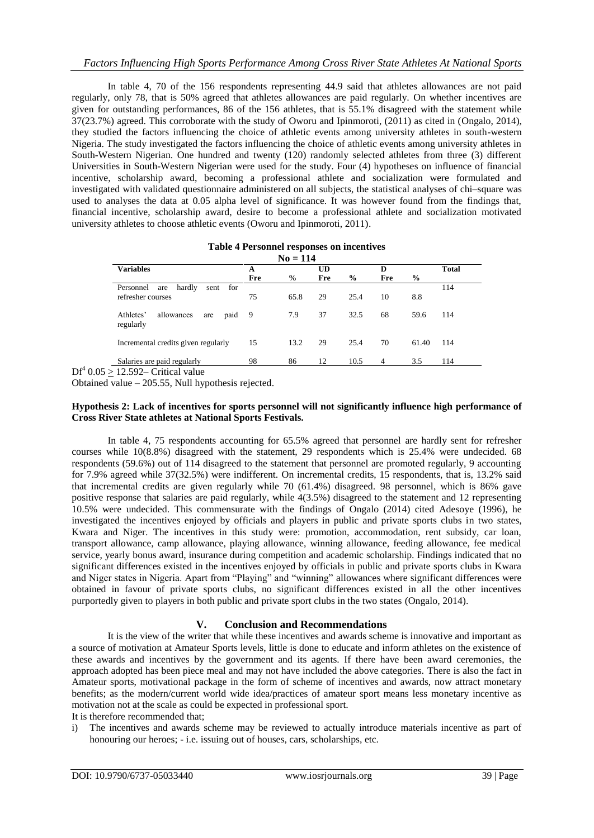In table 4, 70 of the 156 respondents representing 44.9 said that athletes allowances are not paid regularly, only 78, that is 50% agreed that athletes allowances are paid regularly. On whether incentives are given for outstanding performances, 86 of the 156 athletes, that is 55.1% disagreed with the statement while 37(23.7%) agreed. This corroborate with the study of Oworu and Ipinmoroti, (2011) as cited in (Ongalo, 2014), they studied the factors influencing the choice of athletic events among university athletes in south-western Nigeria. The study investigated the factors influencing the choice of athletic events among university athletes in South-Western Nigerian. One hundred and twenty (120) randomly selected athletes from three (3) different Universities in South-Western Nigerian were used for the study. Four (4) hypotheses on influence of financial incentive, scholarship award, becoming a professional athlete and socialization were formulated and investigated with validated questionnaire administered on all subjects, the statistical analyses of chi–square was used to analyses the data at 0.05 alpha level of significance. It was however found from the findings that, financial incentive, scholarship award, desire to become a professional athlete and socialization motivated university athletes to choose athletic events (Oworu and Ipinmoroti, 2011).

| <b>Table 4 Personnel responses on incentives</b> |  |
|--------------------------------------------------|--|
| $No = 114$                                       |  |

| <b>Variables</b>                                    | A   |               | UD  |               | D   |       | <b>Total</b> |
|-----------------------------------------------------|-----|---------------|-----|---------------|-----|-------|--------------|
|                                                     | Fre | $\frac{6}{9}$ | Fre | $\frac{6}{9}$ | Fre | $\%$  |              |
| hardly<br>Personnel<br>for<br>sent<br>are           |     |               |     |               |     |       | 114          |
| refresher courses                                   | 75  | 65.8          | 29  | 25.4          | 10  | 8.8   |              |
|                                                     |     |               |     |               |     |       |              |
| Athletes'<br>allowances<br>paid<br>are<br>regularly | - 9 | 7.9           | 37  | 32.5          | 68  | 59.6  | 114          |
|                                                     |     | 13.2          | 29  | 25.4          | 70  | 61.40 | 114          |
| Incremental credits given regularly                 | 15  |               |     |               |     |       |              |
| Salaries are paid regularly                         | 98  | 86            | 12  | 10.5          | 4   | 3.5   | 114          |
| $10.500 \cdot 0.533 \cdot 1.33$                     |     |               |     |               |     |       |              |

 $DF<sup>4</sup> 0.05 \ge 12.592$ – Critical value

Obtained value – 205.55, Null hypothesis rejected.

## **Hypothesis 2: Lack of incentives for sports personnel will not significantly influence high performance of Cross River State athletes at National Sports Festivals.**

In table 4, 75 respondents accounting for 65.5% agreed that personnel are hardly sent for refresher courses while 10(8.8%) disagreed with the statement, 29 respondents which is 25.4% were undecided. 68 respondents (59.6%) out of 114 disagreed to the statement that personnel are promoted regularly, 9 accounting for 7.9% agreed while 37(32.5%) were indifferent. On incremental credits, 15 respondents, that is, 13.2% said that incremental credits are given regularly while 70 (61.4%) disagreed. 98 personnel, which is 86% gave positive response that salaries are paid regularly, while 4(3.5%) disagreed to the statement and 12 representing 10.5% were undecided. This commensurate with the findings of Ongalo (2014) cited Adesoye (1996), he investigated the incentives enjoyed by officials and players in public and private sports clubs in two states, Kwara and Niger. The incentives in this study were: promotion, accommodation, rent subsidy, car loan, transport allowance, camp allowance, playing allowance, winning allowance, feeding allowance, fee medical service, yearly bonus award, insurance during competition and academic scholarship. Findings indicated that no significant differences existed in the incentives enjoyed by officials in public and private sports clubs in Kwara and Niger states in Nigeria. Apart from "Playing" and "winning" allowances where significant differences were obtained in favour of private sports clubs, no significant differences existed in all the other incentives purportedly given to players in both public and private sport clubs in the two states (Ongalo, 2014).

# **V. Conclusion and Recommendations**

It is the view of the writer that while these incentives and awards scheme is innovative and important as a source of motivation at Amateur Sports levels, little is done to educate and inform athletes on the existence of these awards and incentives by the government and its agents. If there have been award ceremonies, the approach adopted has been piece meal and may not have included the above categories. There is also the fact in Amateur sports, motivational package in the form of scheme of incentives and awards, now attract monetary benefits; as the modern/current world wide idea/practices of amateur sport means less monetary incentive as motivation not at the scale as could be expected in professional sport.

It is therefore recommended that;

i) The incentives and awards scheme may be reviewed to actually introduce materials incentive as part of honouring our heroes; - i.e. issuing out of houses, cars, scholarships, etc.